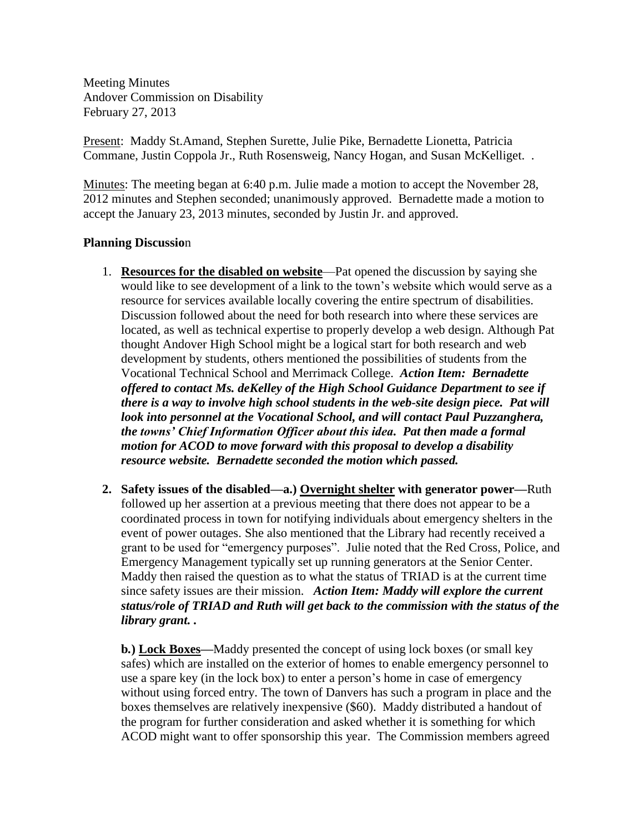Meeting Minutes Andover Commission on Disability February 27, 2013

Present: Maddy St.Amand, Stephen Surette, Julie Pike, Bernadette Lionetta, Patricia Commane, Justin Coppola Jr., Ruth Rosensweig, Nancy Hogan, and Susan McKelliget. .

Minutes: The meeting began at 6:40 p.m. Julie made a motion to accept the November 28, 2012 minutes and Stephen seconded; unanimously approved. Bernadette made a motion to accept the January 23, 2013 minutes, seconded by Justin Jr. and approved.

## **Planning Discussio**n

- 1. **Resources for the disabled on website**—Pat opened the discussion by saying she would like to see development of a link to the town's website which would serve as a resource for services available locally covering the entire spectrum of disabilities. Discussion followed about the need for both research into where these services are located, as well as technical expertise to properly develop a web design. Although Pat thought Andover High School might be a logical start for both research and web development by students, others mentioned the possibilities of students from the Vocational Technical School and Merrimack College. *Action Item: Bernadette offered to contact Ms. deKelley of the High School Guidance Department to see if there is a way to involve high school students in the web-site design piece. Pat will look into personnel at the Vocational School, and will contact Paul Puzzanghera, the towns' Chief Information Officer about this idea. Pat then made a formal motion for ACOD to move forward with this proposal to develop a disability resource website. Bernadette seconded the motion which passed.*
- **2. Safety issues of the disabled—a.) Overnight shelter with generator power—**Ruth followed up her assertion at a previous meeting that there does not appear to be a coordinated process in town for notifying individuals about emergency shelters in the event of power outages. She also mentioned that the Library had recently received a grant to be used for "emergency purposes". Julie noted that the Red Cross, Police, and Emergency Management typically set up running generators at the Senior Center. Maddy then raised the question as to what the status of TRIAD is at the current time since safety issues are their mission. *Action Item: Maddy will explore the current status/role of TRIAD and Ruth will get back to the commission with the status of the library grant. .*

**b***.***) Lock Boxes—**Maddy presented the concept of using lock boxes (or small key safes) which are installed on the exterior of homes to enable emergency personnel to use a spare key (in the lock box) to enter a person's home in case of emergency without using forced entry. The town of Danvers has such a program in place and the boxes themselves are relatively inexpensive (\$60). Maddy distributed a handout of the program for further consideration and asked whether it is something for which ACOD might want to offer sponsorship this year. The Commission members agreed